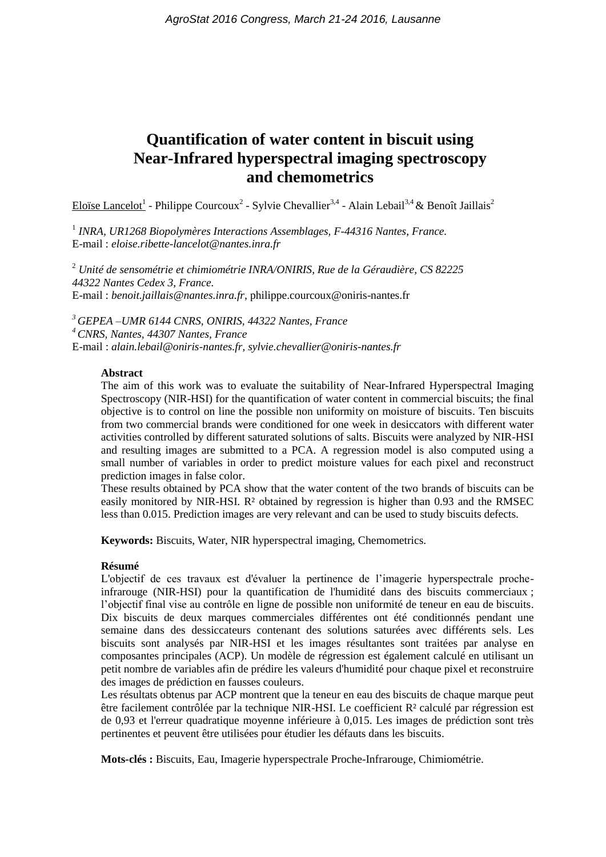# **Quantification of water content in biscuit using Near-Infrared hyperspectral imaging spectroscopy and chemometrics**

Eloïse Lancelot<sup>1</sup> - Philippe Courcoux<sup>2</sup> - Sylvie Chevallier<sup>3,4</sup> - Alain Lebail<sup>3,4</sup> & Benoît Jaillais<sup>2</sup>

<sup>1</sup> INRA, UR1268 Biopolymères Interactions Assemblages, F-44316 Nantes, France. E-mail : *eloise.ribette-lancelot@nantes.inra.fr*

<sup>2</sup> *Unité de sensométrie et chimiométrie INRA/ONIRIS, Rue de la Géraudière, CS 82225 44322 Nantes Cedex 3, France.* E-mail : *benoit.jaillais@nantes.inra.fr,* philippe.courcoux@oniris-nantes.fr

*<sup>3</sup> GEPEA –UMR 6144 CNRS, ONIRIS, 44322 Nantes, France <sup>4</sup>CNRS, Nantes, 44307 Nantes, France* E-mail : *alain.lebail@oniris-nantes.fr, sylvie.chevallier@oniris-nantes.fr*

#### **Abstract**

The aim of this work was to evaluate the suitability of Near-Infrared Hyperspectral Imaging Spectroscopy (NIR-HSI) for the quantification of water content in commercial biscuits; the final objective is to control on line the possible non uniformity on moisture of biscuits. Ten biscuits from two commercial brands were conditioned for one week in desiccators with different water activities controlled by different saturated solutions of salts. Biscuits were analyzed by NIR-HSI and resulting images are submitted to a PCA. A regression model is also computed using a small number of variables in order to predict moisture values for each pixel and reconstruct prediction images in false color.

These results obtained by PCA show that the water content of the two brands of biscuits can be easily monitored by NIR-HSI. R² obtained by regression is higher than 0.93 and the RMSEC less than 0.015. Prediction images are very relevant and can be used to study biscuits defects.

**Keywords:** Biscuits, Water, NIR hyperspectral imaging, Chemometrics.

#### **Résumé**

L'objectif de ces travaux est d'évaluer la pertinence de l'imagerie hyperspectrale procheinfrarouge (NIR-HSI) pour la quantification de l'humidité dans des biscuits commerciaux ; l'objectif final vise au contrôle en ligne de possible non uniformité de teneur en eau de biscuits. Dix biscuits de deux marques commerciales différentes ont été conditionnés pendant une semaine dans des dessiccateurs contenant des solutions saturées avec différents sels. Les biscuits sont analysés par NIR-HSI et les images résultantes sont traitées par analyse en composantes principales (ACP). Un modèle de régression est également calculé en utilisant un petit nombre de variables afin de prédire les valeurs d'humidité pour chaque pixel et reconstruire des images de prédiction en fausses couleurs.

Les résultats obtenus par ACP montrent que la teneur en eau des biscuits de chaque marque peut être facilement contrôlée par la technique NIR-HSI. Le coefficient R² calculé par régression est de 0,93 et l'erreur quadratique moyenne inférieure à 0,015. Les images de prédiction sont très pertinentes et peuvent être utilisées pour étudier les défauts dans les biscuits.

**Mots-clés :** Biscuits, Eau, Imagerie hyperspectrale Proche-Infrarouge, Chimiométrie.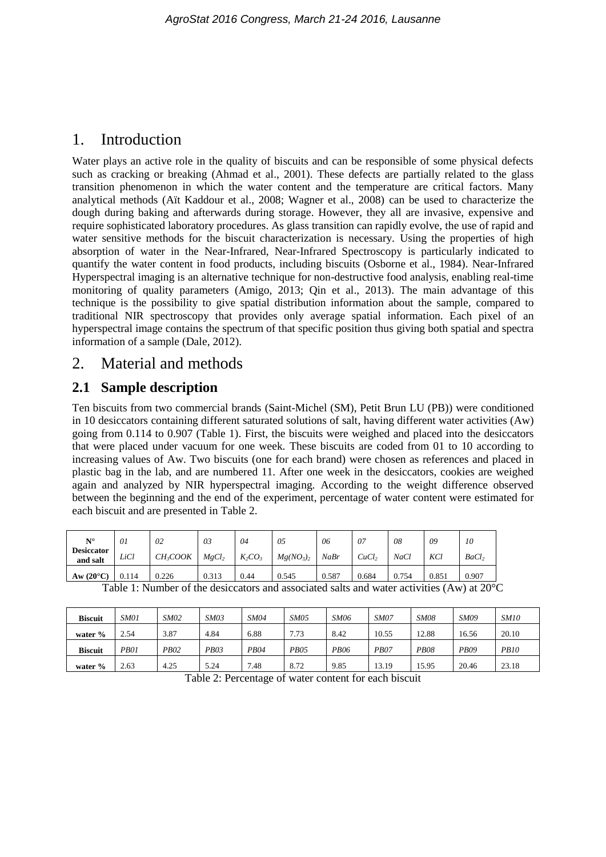## 1. Introduction

Water plays an active role in the quality of biscuits and can be responsible of some physical defects such as cracking or breaking (Ahmad et al., 2001). These defects are partially related to the glass transition phenomenon in which the water content and the temperature are critical factors. Many analytical methods (Aït Kaddour et al., 2008; Wagner et al., 2008) can be used to characterize the dough during baking and afterwards during storage. However, they all are invasive, expensive and require sophisticated laboratory procedures. As glass transition can rapidly evolve, the use of rapid and water sensitive methods for the biscuit characterization is necessary. Using the properties of high absorption of water in the Near-Infrared, Near-Infrared Spectroscopy is particularly indicated to quantify the water content in food products, including biscuits (Osborne et al., 1984). Near-Infrared Hyperspectral imaging is an alternative technique for non-destructive food analysis, enabling real-time monitoring of quality parameters (Amigo, 2013; Qin et al., 2013). The main advantage of this technique is the possibility to give spatial distribution information about the sample, compared to traditional NIR spectroscopy that provides only average spatial information. Each pixel of an hyperspectral image contains the spectrum of that specific position thus giving both spatial and spectra information of a sample (Dale, 2012).

## 2. Material and methods

## **2.1 Sample description**

Ten biscuits from two commercial brands (Saint-Michel (SM), Petit Brun LU (PB)) were conditioned in 10 desiccators containing different saturated solutions of salt, having different water activities (Aw) going from 0.114 to 0.907 (Table 1). First, the biscuits were weighed and placed into the desiccators that were placed under vacuum for one week. These biscuits are coded from 01 to 10 according to increasing values of Aw. Two biscuits (one for each brand) were chosen as references and placed in plastic bag in the lab, and are numbered 11. After one week in the desiccators, cookies are weighed again and analyzed by NIR hyperspectral imaging. According to the weight difference observed between the beginning and the end of the experiment, percentage of water content were estimated for each biscuit and are presented in Table 2.

| $N^{\circ}$<br><b>Desiccator</b><br>and salt | 01<br>LiCl | 02<br>$CH_3COOK$ | 03<br>MgCl <sub>2</sub> | 04<br>$K_2CO_3$ | 05<br>Mg(NO <sub>3</sub> ) <sub>2</sub> | 06<br>NaBr | -07<br>CuCl <sub>2</sub> | 08<br><b>NaCl</b> | 09<br>KCl | 10<br>BaCl <sub>2</sub> |
|----------------------------------------------|------------|------------------|-------------------------|-----------------|-----------------------------------------|------------|--------------------------|-------------------|-----------|-------------------------|
| Aw $(20^{\circ}C)$                           | 0.114      | 0.226            | 0.313                   | 0.44            | 0.545                                   | 0.587      | 0.684                    | 0.754             | 0.851     | 0.907                   |

| <b>Biscuit</b> | SM01 | <b>SM02</b> | <i>SM03</i> | <b>SM04</b> | <i>SM05</i> | <i>SM06</i> | <i>SM07</i> | <b>SM08</b> | <b>SM09</b> | <i>SM10</i> |
|----------------|------|-------------|-------------|-------------|-------------|-------------|-------------|-------------|-------------|-------------|
| water $%$      | 2.54 | 3.87        | 4.84        | 6.88        | 7.73        | 8.42        | 10.55       | 12.88       | 16.56       | 20.10       |
| <b>Biscuit</b> | PB01 | <b>PB02</b> | <b>PB03</b> | PB04        | <b>PB05</b> | <b>PB06</b> | <i>PB07</i> | <b>PB08</b> | <i>PB09</i> | <i>PB10</i> |
| water $%$      | 2.63 | 4.25        | 5.24        | 7.48        | 8.72        | 9.85        | 13.19       | 15.95       | 20.46       | 23.18       |

Table 1: Number of the desiccators and associated salts and water activities (Aw) at  $20^{\circ}$ C

Table 2: Percentage of water content for each biscuit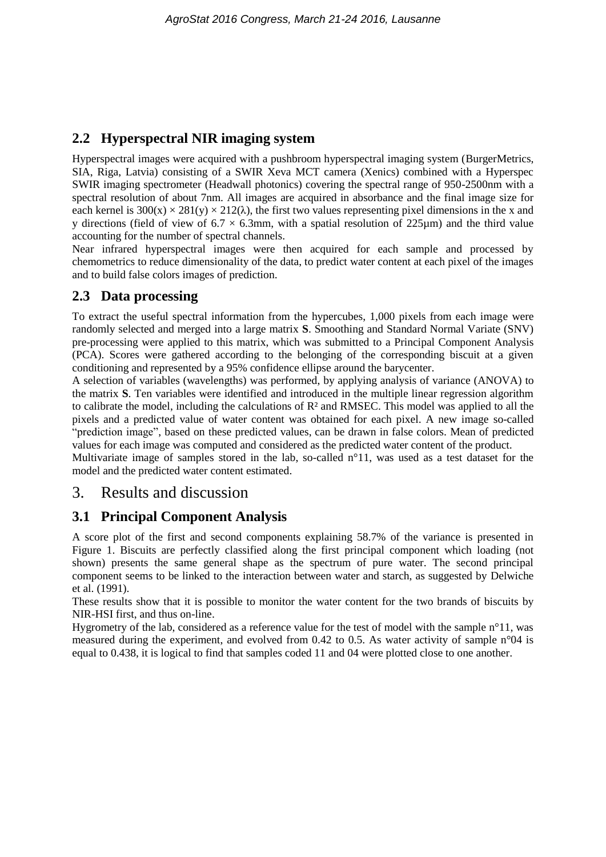## **2.2 Hyperspectral NIR imaging system**

Hyperspectral images were acquired with a pushbroom hyperspectral imaging system (BurgerMetrics, SIA, Riga, Latvia) consisting of a SWIR Xeva MCT camera (Xenics) combined with a Hyperspec SWIR imaging spectrometer (Headwall photonics) covering the spectral range of 950-2500nm with a spectral resolution of about 7nm. All images are acquired in absorbance and the final image size for each kernel is  $300(x) \times 281(y) \times 212(\lambda)$ , the first two values representing pixel dimensions in the x and y directions (field of view of  $6.7 \times 6.3$ mm, with a spatial resolution of 225 $\mu$ m) and the third value accounting for the number of spectral channels.

Near infrared hyperspectral images were then acquired for each sample and processed by chemometrics to reduce dimensionality of the data, to predict water content at each pixel of the images and to build false colors images of prediction.

## **2.3 Data processing**

To extract the useful spectral information from the hypercubes, 1,000 pixels from each image were randomly selected and merged into a large matrix **S**. Smoothing and Standard Normal Variate (SNV) pre-processing were applied to this matrix, which was submitted to a Principal Component Analysis (PCA). Scores were gathered according to the belonging of the corresponding biscuit at a given conditioning and represented by a 95% confidence ellipse around the barycenter.

A selection of variables (wavelengths) was performed, by applying analysis of variance (ANOVA) to the matrix **S**. Ten variables were identified and introduced in the multiple linear regression algorithm to calibrate the model, including the calculations of R² and RMSEC. This model was applied to all the pixels and a predicted value of water content was obtained for each pixel. A new image so-called "prediction image", based on these predicted values, can be drawn in false colors. Mean of predicted values for each image was computed and considered as the predicted water content of the product.

Multivariate image of samples stored in the lab, so-called  $n^{\circ}11$ , was used as a test dataset for the model and the predicted water content estimated.

## 3. Results and discussion

## **3.1 Principal Component Analysis**

A score plot of the first and second components explaining 58.7% of the variance is presented in Figure 1. Biscuits are perfectly classified along the first principal component which loading (not shown) presents the same general shape as the spectrum of pure water. The second principal component seems to be linked to the interaction between water and starch, as suggested by Delwiche et al. (1991).

These results show that it is possible to monitor the water content for the two brands of biscuits by NIR-HSI first, and thus on-line.

Hygrometry of the lab, considered as a reference value for the test of model with the sample n°11, was measured during the experiment, and evolved from 0.42 to 0.5. As water activity of sample n°04 is equal to 0.438, it is logical to find that samples coded 11 and 04 were plotted close to one another.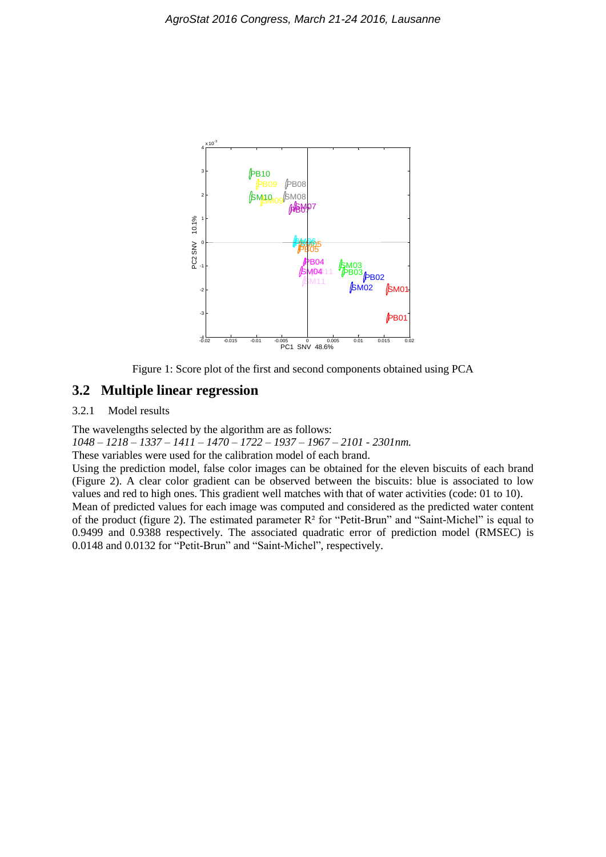



## **3.2 Multiple linear regression**

### 3.2.1 Model results

The wavelengths selected by the algorithm are as follows:

*1048 – 1218 – 1337 – 1411 – 1470 – 1722 – 1937 – 1967 – 2101 - 2301nm.*

These variables were used for the calibration model of each brand.

Using the prediction model, false color images can be obtained for the eleven biscuits of each brand (Figure 2). A clear color gradient can be observed between the biscuits: blue is associated to low values and red to high ones. This gradient well matches with that of water activities (code: 01 to 10). Mean of predicted values for each image was computed and considered as the predicted water content

of the product (figure 2). The estimated parameter R² for "Petit-Brun" and "Saint-Michel" is equal to 0.9499 and 0.9388 respectively. The associated quadratic error of prediction model (RMSEC) is 0.0148 and 0.0132 for "Petit-Brun" and "Saint-Michel", respectively.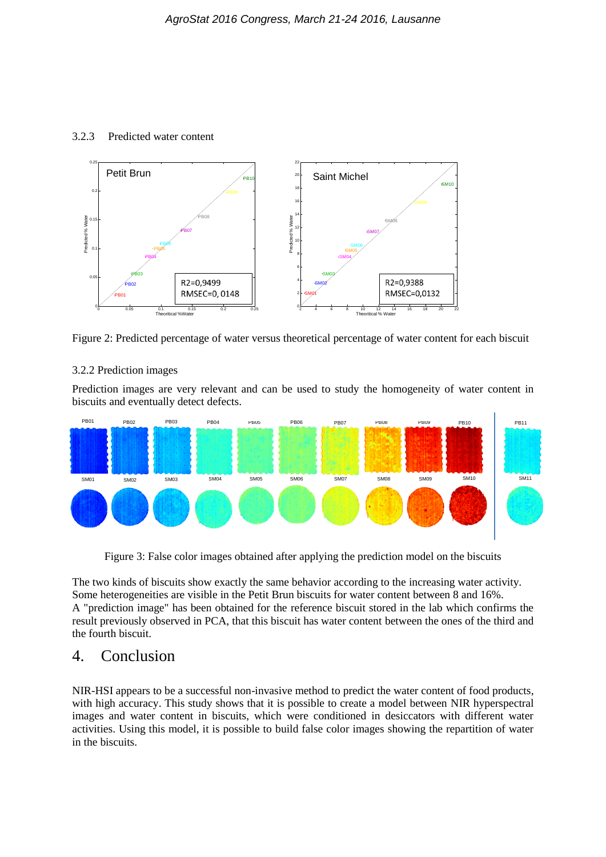#### 3.2.3 Predicted water content



Figure 2: Predicted percentage of water versus theoretical percentage of water content for each biscuit

#### 3.2.2 Prediction images

Prediction images are very relevant and can be used to study the homogeneity of water content in biscuits and eventually detect defects.



Figure 3: False color images obtained after applying the prediction model on the biscuits

The two kinds of biscuits show exactly the same behavior according to the increasing water activity. Some heterogeneities are visible in the Petit Brun biscuits for water content between 8 and 16%. A "prediction image" has been obtained for the reference biscuit stored in the lab which confirms the result previously observed in PCA, that this biscuit has water content between the ones of the third and the fourth biscuit.

## 4. Conclusion

NIR-HSI appears to be a successful non-invasive method to predict the water content of food products, with high accuracy. This study shows that it is possible to create a model between NIR hyperspectral images and water content in biscuits, which were conditioned in desiccators with different water activities. Using this model, it is possible to build false color images showing the repartition of water in the biscuits.